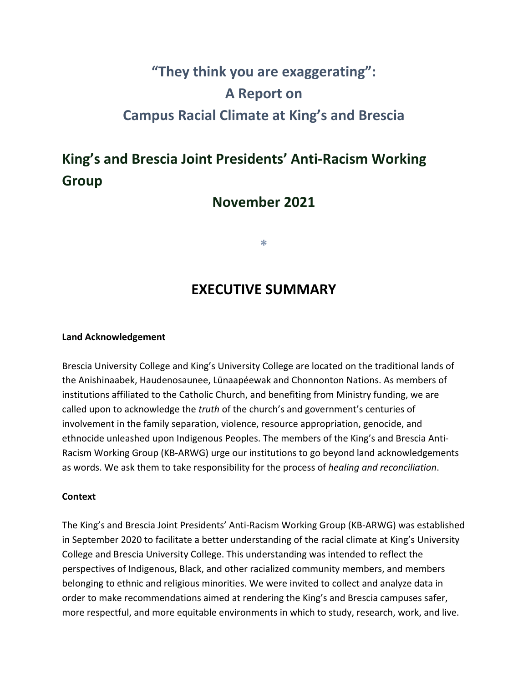# **"They think you are exaggerating": A Report on Campus Racial Climate at King's and Brescia**

## **King's and Brescia Joint Presidents' Anti-Racism Working Group**

### **November 2021**

**\***

## **EXECUTIVE SUMMARY**

#### **Land Acknowledgement**

Brescia University College and King's University College are located on the traditional lands of the Anishinaabek, Haudenosaunee, Lūnaapéewak and Chonnonton Nations. As members of institutions affiliated to the Catholic Church, and benefiting from Ministry funding, we are called upon to acknowledge the *truth* of the church's and government's centuries of involvement in the family separation, violence, resource appropriation, genocide, and ethnocide unleashed upon Indigenous Peoples. The members of the King's and Brescia Anti-Racism Working Group (KB-ARWG) urge our institutions to go beyond land acknowledgements as words. We ask them to take responsibility for the process of *healing and reconciliation*.

#### **Context**

The King's and Brescia Joint Presidents' Anti-Racism Working Group (KB-ARWG) was established in September 2020 to facilitate a better understanding of the racial climate at King's University College and Brescia University College. This understanding was intended to reflect the perspectives of Indigenous, Black, and other racialized community members, and members belonging to ethnic and religious minorities. We were invited to collect and analyze data in order to make recommendations aimed at rendering the King's and Brescia campuses safer, more respectful, and more equitable environments in which to study, research, work, and live.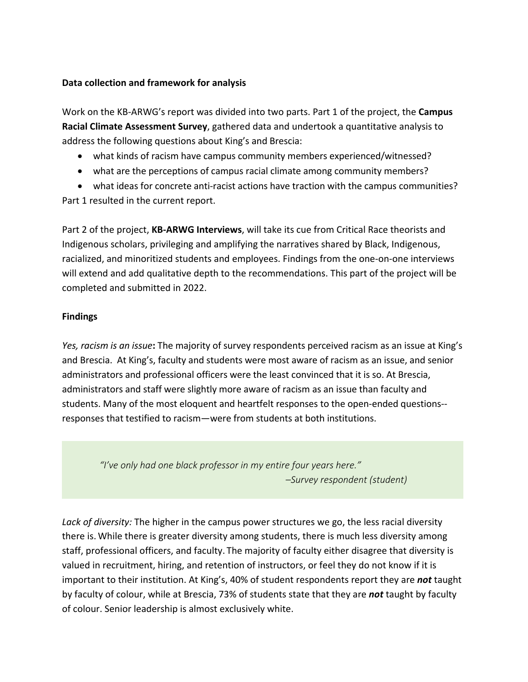#### **Data collection and framework for analysis**

Work on the KB-ARWG's report was divided into two parts. Part 1 of the project, the **Campus Racial Climate Assessment Survey**, gathered data and undertook a quantitative analysis to address the following questions about King's and Brescia:

- what kinds of racism have campus community members experienced/witnessed?
- what are the perceptions of campus racial climate among community members?

• what ideas for concrete anti-racist actions have traction with the campus communities? Part 1 resulted in the current report.

Part 2 of the project, **KB-ARWG Interviews**, will take its cue from Critical Race theorists and Indigenous scholars, privileging and amplifying the narratives shared by Black, Indigenous, racialized, and minoritized students and employees. Findings from the one-on-one interviews will extend and add qualitative depth to the recommendations. This part of the project will be completed and submitted in 2022.

#### **Findings**

*Yes, racism is an issue***:** The majority of survey respondents perceived racism as an issue at King's and Brescia. At King's, faculty and students were most aware of racism as an issue, and senior administrators and professional officers were the least convinced that it is so. At Brescia, administrators and staff were slightly more aware of racism as an issue than faculty and students. Many of the most eloquent and heartfelt responses to the open-ended questions- responses that testified to racism—were from students at both institutions.

*"I've only had one black professor in my entire four years here." –Survey respondent (student)*

*Lack of diversity:* The higher in the campus power structures we go, the less racial diversity there is. While there is greater diversity among students, there is much less diversity among staff, professional officers, and faculty. The majority of faculty either disagree that diversity is valued in recruitment, hiring, and retention of instructors, or feel they do not know if it is important to their institution. At King's, 40% of student respondents report they are *not* taught by faculty of colour, while at Brescia, 73% of students state that they are *not* taught by faculty of colour. Senior leadership is almost exclusively white.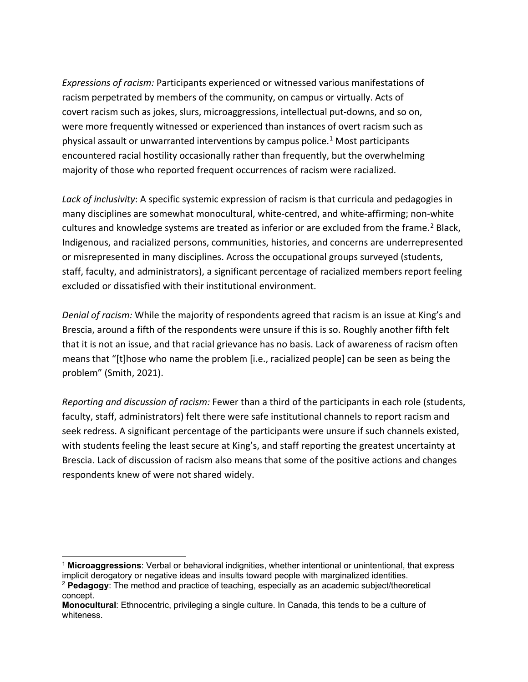*Expressions of racism:* Participants experienced or witnessed various manifestations of racism perpetrated by members of the community, on campus or virtually. Acts of covert racism such as jokes, slurs, microaggressions, intellectual put-downs, and so on, were more frequently witnessed or experienced than instances of overt racism such as physical assault or unwarranted interventions by campus police.[1](#page-2-0) Most participants encountered racial hostility occasionally rather than frequently, but the overwhelming majority of those who reported frequent occurrences of racism were racialized.

*Lack of inclusivity*: A specific systemic expression of racism is that curricula and pedagogies in many disciplines are somewhat monocultural, white-centred, and white-affirming; non-white cultures and knowledge systems are treated as inferior or are excluded from the frame.<sup>[2](#page-2-1)</sup> Black, Indigenous, and racialized persons, communities, histories, and concerns are underrepresented or misrepresented in many disciplines. Across the occupational groups surveyed (students, staff, faculty, and administrators), a significant percentage of racialized members report feeling excluded or dissatisfied with their institutional environment.

*Denial of racism:* While the majority of respondents agreed that racism is an issue at King's and Brescia, around a fifth of the respondents were unsure if this is so. Roughly another fifth felt that it is not an issue, and that racial grievance has no basis. Lack of awareness of racism often means that "[t]hose who name the problem [i.e., racialized people] can be seen as being the problem" (Smith, 2021).

*Reporting and discussion of racism:* Fewer than a third of the participants in each role (students, faculty, staff, administrators) felt there were safe institutional channels to report racism and seek redress. A significant percentage of the participants were unsure if such channels existed, with students feeling the least secure at King's, and staff reporting the greatest uncertainty at Brescia. Lack of discussion of racism also means that some of the positive actions and changes respondents knew of were not shared widely.

<span id="page-2-0"></span><sup>1</sup> **Microaggressions**: Verbal or behavioral indignities, whether intentional or unintentional, that express implicit derogatory or negative ideas and insults toward people with marginalized identities.

<span id="page-2-1"></span><sup>2</sup> **Pedagogy**: The method and practice of teaching, especially as an academic subject/theoretical concept.

**Monocultural**: Ethnocentric, privileging a single culture. In Canada, this tends to be a culture of whiteness.